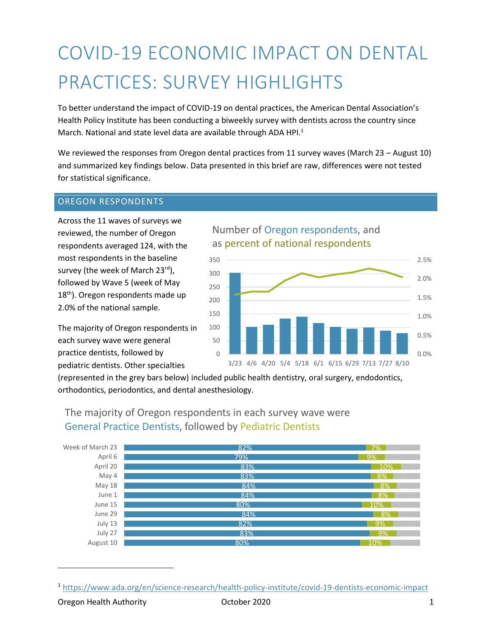# COVID-19 ECONOMIC IMPACT ON DENTAL PRACTICES: SURVEY HIGHLIGHTS

To better understand the impact of COVID-19 on dental practices, the American Dental Association's Health Policy Institute has been conducting a biweekly survey with dentists across the country since March. National and state level data are available through ADA HPI.<sup>1</sup>

We reviewed the responses from Oregon dental practices from 11 survey waves (March 23 – August 10) and summarized key findings below. Data presented in this brief are raw, differences were not tested for statistical significance.

### OREGON RESPONDENTS

Across the 11 waves of surveys we reviewed, the number of Oregon respondents averaged 124, with the most respondents in the baseline survey (the week of March 23rd), followed by Wave 5 (week of May 18<sup>th</sup>). Oregon respondents made up 2.0% of the national sample.

The majority of Oregon respondents in each survey wave were general practice dentists, followed by pediatric dentists. Other specialties

## Number of Oregon respondents, and as percent of national respondents



(represented in the grey bars below) included public health dentistry, oral surgery, endodontics, orthodontics, periodontics, and dental anesthesiology.



## The majority of Oregon respondents in each survey wave were General Practice Dentists, followed by Pediatric Dentists

<sup>1</sup> <https://www.ada.org/en/science-research/health-policy-institute/covid-19-dentists-economic-impact>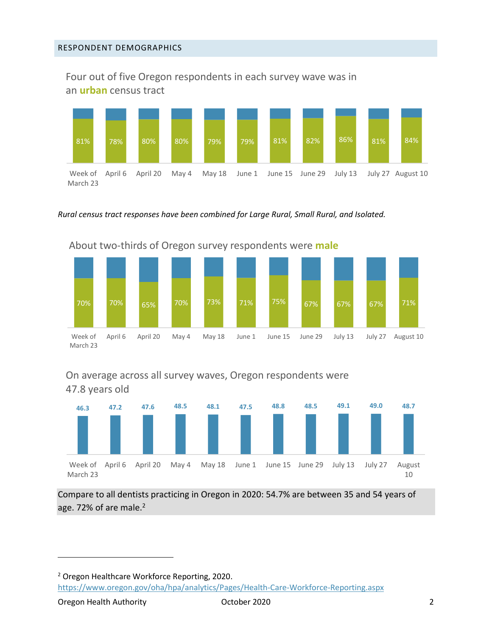Four out of five Oregon respondents in each survey wave was in an **urban** census tract



*Ru*r*al census tract responses have been combined for Large Rural, Small Rural, and Isolated.* 



## On average across all survey waves, Oregon respondents were 47.8 years old



Compare to all dentists practicing in Oregon in 2020: 54.7% are between 35 and 54 years of age. 72% of are male.<sup>2</sup>

<sup>2</sup> Oregon Healthcare Workforce Reporting, 2020. <https://www.oregon.gov/oha/hpa/analytics/Pages/Health-Care-Workforce-Reporting.aspx>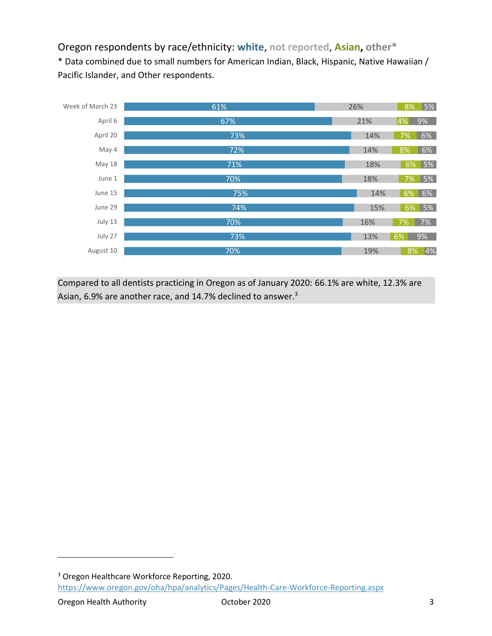## Oregon respondents by race/ethnicity: **white**, **not reported**, **Asian, other\***

\* Data combined due to small numbers for American Indian, Black, Hispanic, Native Hawaiian / Pacific Islander, and Other respondents.



Compared to all dentists practicing in Oregon as of January 2020: 66.1% are white, 12.3% are Asian, 6.9% are another race, and 14.7% declined to answer.<sup>3</sup>

<sup>3</sup> Oregon Healthcare Workforce Reporting, 2020. <https://www.oregon.gov/oha/hpa/analytics/Pages/Health-Care-Workforce-Reporting.aspx>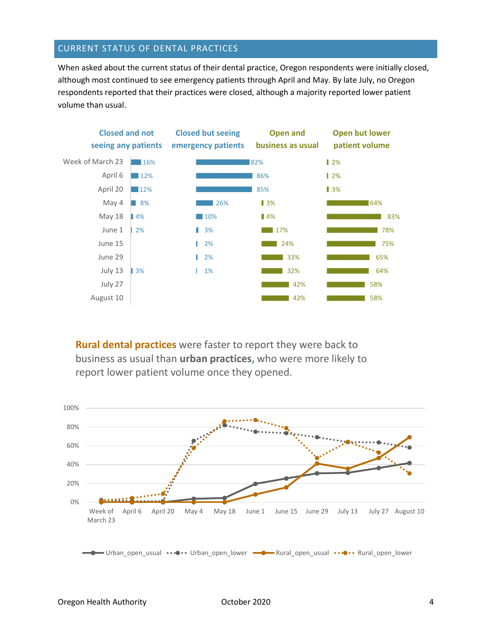#### CURRENT STATUS OF DENTAL PRACTICES

When asked about the current status of their dental practice, Oregon respondents were initially closed, although most continued to see emergency patients through April and May. By late July, no Oregon respondents reported that their practices were closed, although a majority reported lower patient volume than usual.



**Rural dental practices** were faster to report they were back to business as usual than **urban practices,** who were more likely to report lower patient volume once they opened.

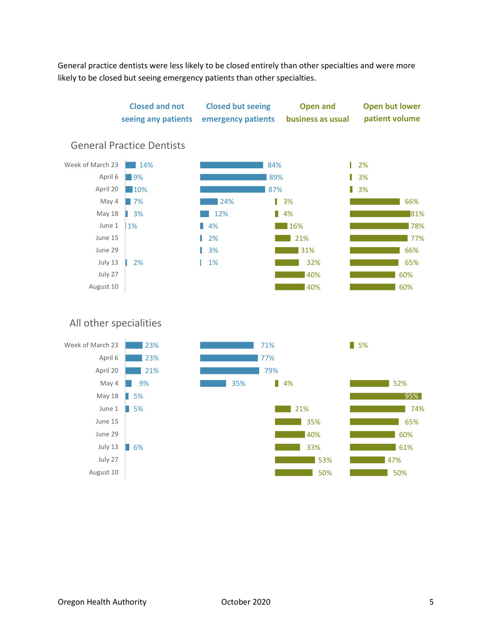General practice dentists were less likely to be closed entirely than other specialties and were more likely to be closed but seeing emergency patients than other specialties.



July 27 August 10

July 13 **6%** 

33% 53% 50%

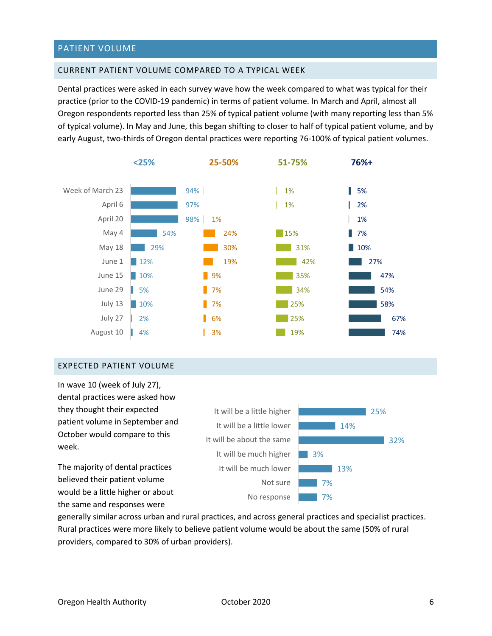#### PATIENT VOLUME

#### CURRENT PATIENT VOLUME COMPARED TO A TYPICAL WEEK

Dental practices were asked in each survey wave how the week compared to what was typical for their practice (prior to the COVID-19 pandemic) in terms of patient volume. In March and April, almost all Oregon respondents reported less than 25% of typical patient volume (with many reporting less than 5% of typical volume). In May and June, this began shifting to closer to half of typical patient volume, and by early August, two-thirds of Oregon dental practices were reporting 76-100% of typical patient volumes.



#### EXPECTED PATIENT VOLUME

In wave 10 (week of July 27), dental practices were asked how they thought their expected patient volume in September and October would compare to this week.

The majority of dental practices believed their patient volume would be a little higher or about the same and responses were



generally similar across urban and rural practices, and across general practices and specialist practices. Rural practices were more likely to believe patient volume would be about the same (50% of rural providers, compared to 30% of urban providers).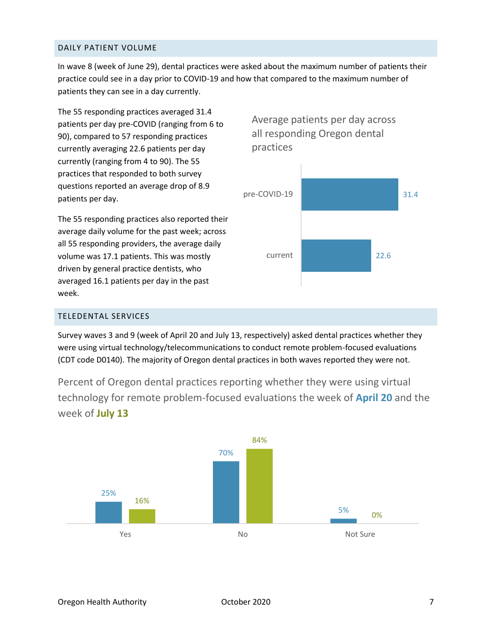#### DAILY PATIENT VOLUME

In wave 8 (week of June 29), dental practices were asked about the maximum number of patients their practice could see in a day prior to COVID-19 and how that compared to the maximum number of patients they can see in a day currently.

The 55 responding practices averaged 31.4 patients per day pre-COVID (ranging from 6 to 90), compared to 57 responding practices currently averaging 22.6 patients per day currently (ranging from 4 to 90). The 55 practices that responded to both survey questions reported an average drop of 8.9 patients per day.

The 55 responding practices also reported their average daily volume for the past week; across all 55 responding providers, the average daily volume was 17.1 patients. This was mostly driven by general practice dentists, who averaged 16.1 patients per day in the past week.

Average patients per day across all responding Oregon dental practices



#### TELEDENTAL SERVICES

Survey waves 3 and 9 (week of April 20 and July 13, respectively) asked dental practices whether they were using virtual technology/telecommunications to conduct remote problem-focused evaluations (CDT code D0140). The majority of Oregon dental practices in both waves reported they were not.

Percent of Oregon dental practices reporting whether they were using virtual technology for remote problem-focused evaluations the week of **April 20** and the week of **July 13**

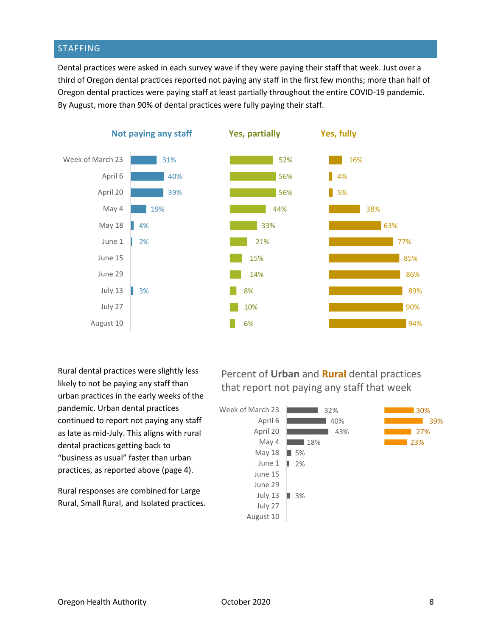### STAFFING

Dental practices were asked in each survey wave if they were paying their staff that week. Just over a third of Oregon dental practices reported not paying any staff in the first few months; more than half of Oregon dental practices were paying staff at least partially throughout the entire COVID-19 pandemic. By August, more than 90% of dental practices were fully paying their staff.



Rural dental practices were slightly less likely to not be paying any staff than urban practices in the early weeks of the pandemic. Urban dental practices continued to report not paying any staff as late as mid-July. This aligns with rural dental practices getting back to "business as usual" faster than urban practices, as reported above (page 4).

Rural responses are combined for Large Rural, Small Rural, and Isolated practices. Percent of **Urban** and **Rural** dental practices that report not paying any staff that week

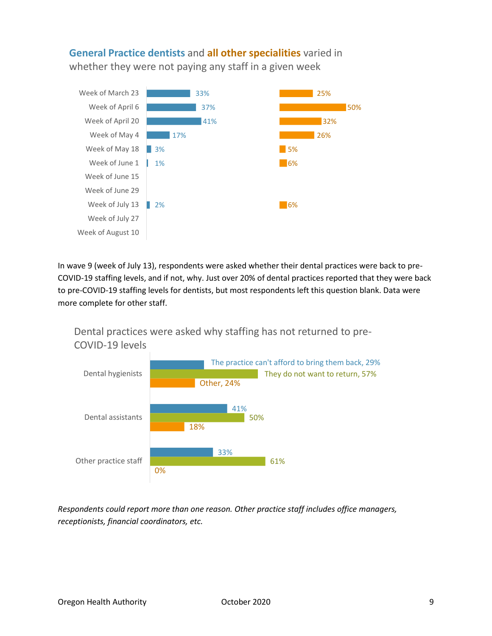**General Practice dentists** and **all other specialities** varied in whether they were not paying any staff in a given week



In wave 9 (week of July 13), respondents were asked whether their dental practices were back to pre-COVID-19 staffing levels, and if not, why. Just over 20% of dental practices reported that they were back to pre-COVID-19 staffing levels for dentists, but most respondents left this question blank. Data were more complete for other staff.

Dental practices were asked why staffing has not returned to pre-COVID-19 levels



*Respondents could report more than one reason. Other practice staff includes office managers, receptionists, financial coordinators, etc.*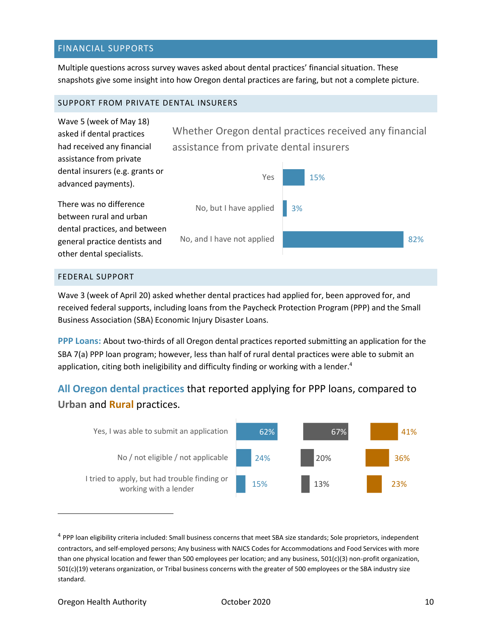#### FINANCIAL SUPPORTS

Multiple questions across survey waves asked about dental practices' financial situation. These snapshots give some insight into how Oregon dental practices are faring, but not a complete picture.

#### SUPPORT FROM PRIVATE DENTAL INSURERS



#### FEDERAL SUPPORT

Wave 3 (week of April 20) asked whether dental practices had applied for, been approved for, and received federal supports, including loans from the Paycheck Protection Program (PPP) and the Small Business Association (SBA) Economic Injury Disaster Loans.

**PPP Loans:** About two-thirds of all Oregon dental practices reported submitting an application for the SBA 7(a) PPP loan program; however, less than half of rural dental practices were able to submit an application, citing both ineligibility and difficulty finding or working with a lender.<sup>4</sup>

**All Oregon dental practices** that reported applying for PPP loans, compared to **Urban** and **Rural** practices.



<sup>&</sup>lt;sup>4</sup> PPP loan eligibility criteria included: Small business concerns that meet SBA size standards; Sole proprietors, independent contractors, and self-employed persons; Any business with NAICS Codes for Accommodations and Food Services with more than one physical location and fewer than 500 employees per location; and any business, 501(c)(3) non-profit organization, 501(c)(19) veterans organization, or Tribal business concerns with the greater of 500 employees or the SBA industry size standard.